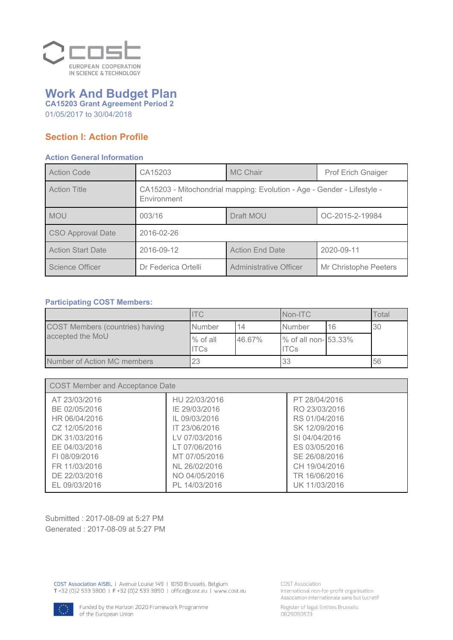

# **Work And Budget Plan CA15203 Grant Agreement Period 2**

01/05/2017 to 30/04/2018

# **Section I: Action Profile**

#### **Action General Information**

| <b>Action Code</b>       | CA15203                                                                                | <b>MC Chair</b>        | <b>Prof Erich Gnaiger</b> |
|--------------------------|----------------------------------------------------------------------------------------|------------------------|---------------------------|
| <b>Action Title</b>      | CA15203 - Mitochondrial mapping: Evolution - Age - Gender - Lifestyle -<br>Environment |                        |                           |
| <b>MOU</b>               | 003/16                                                                                 | Draft MOU              | OC-2015-2-19984           |
| <b>CSO Approval Date</b> | 2016-02-26                                                                             |                        |                           |
| <b>Action Start Date</b> | 2016-09-12                                                                             | <b>Action End Date</b> | 2020-09-11                |
| Science Officer          | Dr Federica Ortelli                                                                    | Administrative Officer | Mr Christophe Peeters     |

### **Participating COST Members:**

|                                        | <b>ITC</b>              |        | Non-ITC                             |    | Total |
|----------------------------------------|-------------------------|--------|-------------------------------------|----|-------|
| <b>COST Members (countries) having</b> | <b>Number</b>           | 14     | Number                              | 16 | 30    |
| accepted the MoU                       | % of all<br><b>ITCs</b> | 46.67% | % of all non- 53.33%<br><b>ITCs</b> |    |       |
| Number of Action MC members            | 23                      |        | 33                                  |    | 56    |

| <b>COST Member and Acceptance Date</b> |               |               |
|----------------------------------------|---------------|---------------|
| AT 23/03/2016                          | HU 22/03/2016 | PT 28/04/2016 |
| BE 02/05/2016                          | IE 29/03/2016 | RO 23/03/2016 |
| HR 06/04/2016                          | IL 09/03/2016 | RS 01/04/2016 |
| CZ 12/05/2016                          | IT 23/06/2016 | SK 12/09/2016 |
| DK 31/03/2016                          | LV 07/03/2016 | SI 04/04/2016 |
| EE 04/03/2016                          | LT 07/06/2016 | ES 03/05/2016 |
| FL08/09/2016                           | MT 07/05/2016 | SE 26/08/2016 |
| FR 11/03/2016                          | NL 26/02/2016 | CH 19/04/2016 |
| DE 22/03/2016                          | NO 04/05/2016 | TR 16/06/2016 |
| EL 09/03/2016                          | PL 14/03/2016 | UK 11/03/2016 |

Submitted : 2017-08-09 at 5:27 PM Generated : 2017-08-09 at 5:27 PM

COST Association AISBL | Avenue Louise 149 | 1050 Brussels, Belgium<br>T +32 (0)2 533 3800 | F +32 (0)2 533 3890 | office@cost.eu | www.cost.eu

**COST Association** International non-for-profit organisation Association internationale sans but lucratif

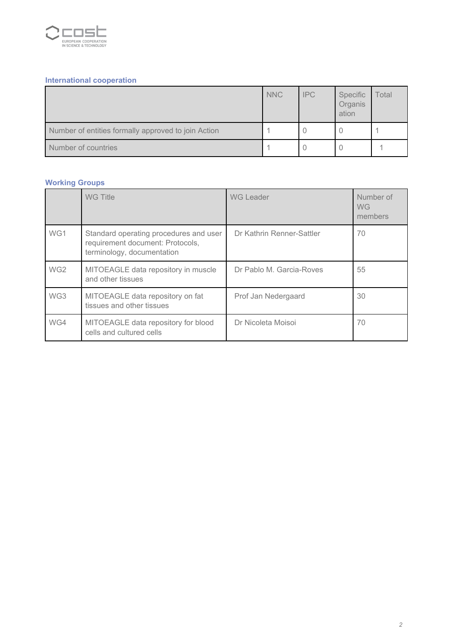

# **International cooperation**

|                                                     | <b>NNC</b> | <b>IPC</b> | Specific<br>Organis<br>ation | Total |
|-----------------------------------------------------|------------|------------|------------------------------|-------|
| Number of entities formally approved to join Action |            |            |                              |       |
| Number of countries                                 |            |            |                              |       |

# **Working Groups**

|                 | WG Title                                                                                                 | <b>WG Leader</b>          | Number of<br><b>WG</b><br>members |
|-----------------|----------------------------------------------------------------------------------------------------------|---------------------------|-----------------------------------|
| WG1             | Standard operating procedures and user<br>requirement document: Protocols,<br>terminology, documentation | Dr Kathrin Renner-Sattler | 70                                |
| WG <sub>2</sub> | MITOEAGLE data repository in muscle<br>and other tissues                                                 | Dr Pablo M. Garcia-Roves  | 55                                |
| WG3             | MITOEAGLE data repository on fat<br>tissues and other tissues                                            | Prof Jan Nedergaard       | 30                                |
| WG4             | MITOEAGLE data repository for blood<br>cells and cultured cells                                          | Dr Nicoleta Moisoi        | 70                                |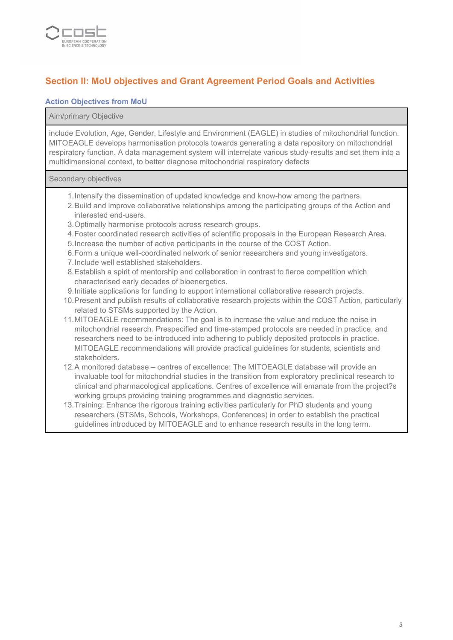

# **Section II: MoU objectives and Grant Agreement Period Goals and Activities**

#### **Action Objectives from MoU**

#### Aim/primary Objective

include Evolution, Age, Gender, Lifestyle and Environment (EAGLE) in studies of mitochondrial function. MITOEAGLE develops harmonisation protocols towards generating a data repository on mitochondrial respiratory function. A data management system will interrelate various study-results and set them into a multidimensional context, to better diagnose mitochondrial respiratory defects

Secondary objectives

- 1.Intensify the dissemination of updated knowledge and know-how among the partners.
- 2.Build and improve collaborative relationships among the participating groups of the Action and interested end-users.
- 3.Optimally harmonise protocols across research groups.
- 4.Foster coordinated research activities of scientific proposals in the European Research Area.
- 5.Increase the number of active participants in the course of the COST Action.
- 6.Form a unique well-coordinated network of senior researchers and young investigators.
- 7.Include well established stakeholders.
- 8.Establish a spirit of mentorship and collaboration in contrast to fierce competition which characterised early decades of bioenergetics.
- 9.Initiate applications for funding to support international collaborative research projects.
- 10.Present and publish results of collaborative research projects within the COST Action, particularly related to STSMs supported by the Action.
- 11.MITOEAGLE recommendations: The goal is to increase the value and reduce the noise in mitochondrial research. Prespecified and time-stamped protocols are needed in practice, and researchers need to be introduced into adhering to publicly deposited protocols in practice. MITOEAGLE recommendations will provide practical guidelines for students, scientists and stakeholders.
- 12.A monitored database centres of excellence: The MITOEAGLE database will provide an invaluable tool for mitochondrial studies in the transition from exploratory preclinical research to clinical and pharmacological applications. Centres of excellence will emanate from the project?s working groups providing training programmes and diagnostic services.
- 13.Training: Enhance the rigorous training activities particularly for PhD students and young researchers (STSMs, Schools, Workshops, Conferences) in order to establish the practical guidelines introduced by MITOEAGLE and to enhance research results in the long term.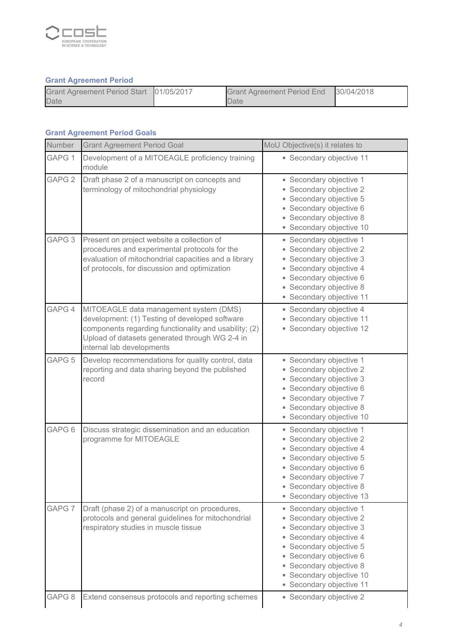

# **Grant Agreement Period**

| Grant Agreement Period Start 01/05/2017 | Grant Agreement Period End 30/04/2018 |  |
|-----------------------------------------|---------------------------------------|--|
| Date                                    | Date                                  |  |

#### **Grant Agreement Period Goals**

| Number            | <b>Grant Agreement Period Goal</b>                                                                                                                                                                                               | MoU Objective(s) it relates to                                                                                                                                                                                                                    |
|-------------------|----------------------------------------------------------------------------------------------------------------------------------------------------------------------------------------------------------------------------------|---------------------------------------------------------------------------------------------------------------------------------------------------------------------------------------------------------------------------------------------------|
| GAPG 1            | Development of a MITOEAGLE proficiency training<br>module                                                                                                                                                                        | • Secondary objective 11                                                                                                                                                                                                                          |
| GAPG <sub>2</sub> | Draft phase 2 of a manuscript on concepts and<br>terminology of mitochondrial physiology                                                                                                                                         | • Secondary objective 1<br>• Secondary objective 2<br>• Secondary objective 5<br>· Secondary objective 6<br>• Secondary objective 8<br>· Secondary objective 10                                                                                   |
| GAPG <sub>3</sub> | Present on project website a collection of<br>procedures and experimental protocols for the<br>evaluation of mitochondrial capacities and a library<br>of protocols, for discussion and optimization                             | • Secondary objective 1<br>• Secondary objective 2<br>• Secondary objective 3<br>• Secondary objective 4<br>· Secondary objective 6<br>• Secondary objective 8<br>• Secondary objective 11                                                        |
| GAPG 4            | MITOEAGLE data management system (DMS)<br>development: (1) Testing of developed software<br>components regarding functionality and usability; (2)<br>Upload of datasets generated through WG 2-4 in<br>internal lab developments | • Secondary objective 4<br>• Secondary objective 11<br>• Secondary objective 12                                                                                                                                                                   |
| GAPG <sub>5</sub> | Develop recommendations for quality control, data<br>reporting and data sharing beyond the published<br>record                                                                                                                   | • Secondary objective 1<br>• Secondary objective 2<br>• Secondary objective 3<br>· Secondary objective 6<br>• Secondary objective 7<br>• Secondary objective 8<br>• Secondary objective 10                                                        |
| GAPG <sub>6</sub> | Discuss strategic dissemination and an education<br>programme for MITOEAGLE                                                                                                                                                      | • Secondary objective 1<br>• Secondary objective 2<br>• Secondary objective 4<br>• Secondary objective 5<br>• Secondary objective 6<br>• Secondary objective 7<br>• Secondary objective 8<br>• Secondary objective 13                             |
| GAPG <sub>7</sub> | Draft (phase 2) of a manuscript on procedures,<br>protocols and general guidelines for mitochondrial<br>respiratory studies in muscle tissue                                                                                     | • Secondary objective 1<br>• Secondary objective 2<br>• Secondary objective 3<br>• Secondary objective 4<br>• Secondary objective 5<br>• Secondary objective 6<br>• Secondary objective 8<br>• Secondary objective 10<br>• Secondary objective 11 |
| GAPG <sub>8</sub> | Extend consensus protocols and reporting schemes                                                                                                                                                                                 | • Secondary objective 2                                                                                                                                                                                                                           |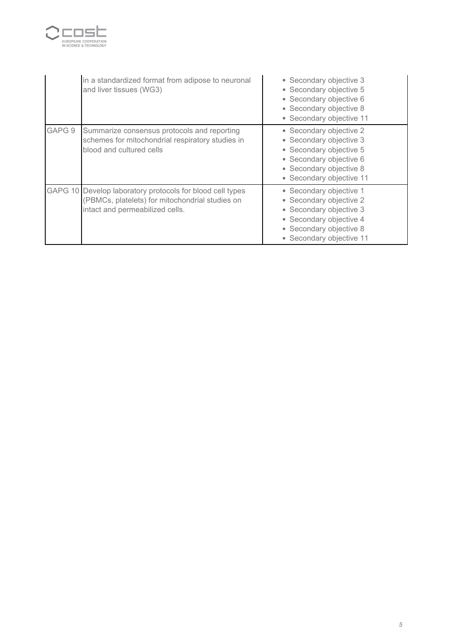

|        | in a standardized format from adipose to neuronal<br>and liver tissues (WG3)                                                                    | • Secondary objective 3<br>• Secondary objective 5<br>• Secondary objective 6<br>• Secondary objective 8<br>• Secondary objective 11                            |
|--------|-------------------------------------------------------------------------------------------------------------------------------------------------|-----------------------------------------------------------------------------------------------------------------------------------------------------------------|
| GAPG 9 | Summarize consensus protocols and reporting<br>schemes for mitochondrial respiratory studies in<br>blood and cultured cells                     | • Secondary objective 2<br>• Secondary objective 3<br>• Secondary objective 5<br>• Secondary objective 6<br>• Secondary objective 8<br>• Secondary objective 11 |
|        | GAPG 10 Develop laboratory protocols for blood cell types<br>(PBMCs, platelets) for mitochondrial studies on<br>intact and permeabilized cells. | • Secondary objective 1<br>• Secondary objective 2<br>• Secondary objective 3<br>• Secondary objective 4<br>• Secondary objective 8<br>• Secondary objective 11 |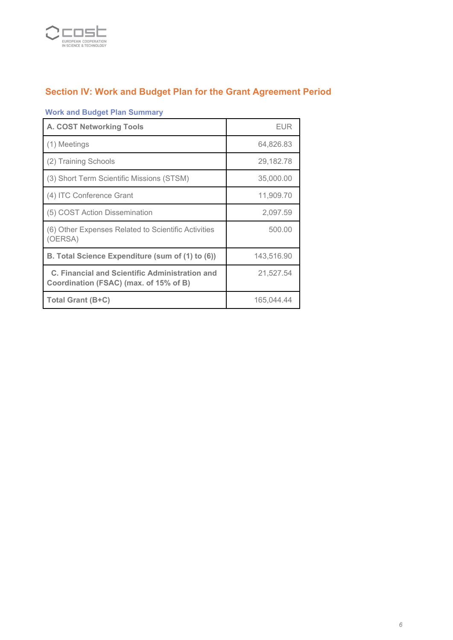

# **Section IV: Work and Budget Plan for the Grant Agreement Period**

# **Work and Budget Plan Summary**

| <b>A. COST Networking Tools</b>                                                                 | <b>EUR</b> |
|-------------------------------------------------------------------------------------------------|------------|
| (1) Meetings                                                                                    | 64,826.83  |
| (2) Training Schools                                                                            | 29,182.78  |
| (3) Short Term Scientific Missions (STSM)                                                       | 35,000.00  |
| (4) ITC Conference Grant                                                                        | 11,909.70  |
| (5) COST Action Dissemination                                                                   | 2,097.59   |
| (6) Other Expenses Related to Scientific Activities<br>(OERSA)                                  | 500.00     |
| B. Total Science Expenditure (sum of (1) to (6))                                                | 143,516.90 |
| <b>C. Financial and Scientific Administration and</b><br>Coordination (FSAC) (max. of 15% of B) | 21,527.54  |
| Total Grant (B+C)                                                                               | 165,044.44 |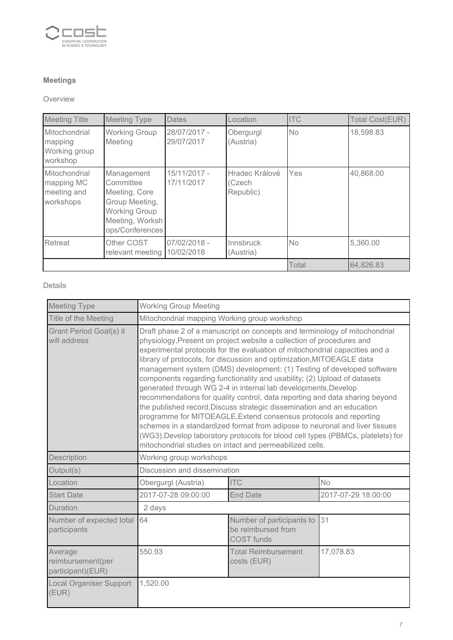

# **Meetings**

#### Overview

| <b>Meeting Title</b>                                    | <b>Meeting Type</b>                                                                                                      | <b>Dates</b>               | <b>Location</b>                       | <b>ITC</b> | <b>Total Cost(EUR)</b> |
|---------------------------------------------------------|--------------------------------------------------------------------------------------------------------------------------|----------------------------|---------------------------------------|------------|------------------------|
| Mitochondrial<br>mapping<br>Working group<br>workshop   | <b>Working Group</b><br>Meeting                                                                                          | 28/07/2017 -<br>29/07/2017 | Obergurgl<br>(Austria)                | <b>No</b>  | 18,598.83              |
| Mitochondrial<br>mapping MC<br>meeting and<br>workshops | Management<br>Committee<br>Meeting, Core<br>Group Meeting,<br><b>Working Group</b><br>Meeting, Worksh<br>ops/Conferences | 15/11/2017 -<br>17/11/2017 | Hradec Králové<br>(Czech<br>Republic) | Yes        | 40,868.00              |
| Retreat                                                 | Other COST<br>relevant meeting                                                                                           | 07/02/2018 -<br>10/02/2018 | Innsbruck<br>(Austria)                | <b>No</b>  | 5,360.00               |
|                                                         |                                                                                                                          |                            |                                       | Total      | 64,826.83              |

Details

| <b>Meeting Type</b>                               | <b>Working Group Meeting</b>                                                                                                                                                                                                                                                                                                                                                                                                                                                                                                                                                                                                                                                                                                                                                                                                                                                                                                                                                                    |                                                                      |                     |
|---------------------------------------------------|-------------------------------------------------------------------------------------------------------------------------------------------------------------------------------------------------------------------------------------------------------------------------------------------------------------------------------------------------------------------------------------------------------------------------------------------------------------------------------------------------------------------------------------------------------------------------------------------------------------------------------------------------------------------------------------------------------------------------------------------------------------------------------------------------------------------------------------------------------------------------------------------------------------------------------------------------------------------------------------------------|----------------------------------------------------------------------|---------------------|
| Title of the Meeting                              | Mitochondrial mapping Working group workshop                                                                                                                                                                                                                                                                                                                                                                                                                                                                                                                                                                                                                                                                                                                                                                                                                                                                                                                                                    |                                                                      |                     |
| <b>Grant Period Goal(s) it</b><br>will address    | Draft phase 2 of a manuscript on concepts and terminology of mitochondrial<br>physiology, Present on project website a collection of procedures and<br>experimental protocols for the evaluation of mitochondrial capacities and a<br>library of protocols, for discussion and optimization, MITOEAGLE data<br>management system (DMS) development: (1) Testing of developed software<br>components regarding functionality and usability; (2) Upload of datasets<br>generated through WG 2-4 in internal lab developments, Develop<br>recommendations for quality control, data reporting and data sharing beyond<br>the published record, Discuss strategic dissemination and an education<br>programme for MITOEAGLE, Extend consensus protocols and reporting<br>schemes in a standardized format from adipose to neuronal and liver tissues<br>(WG3), Develop laboratory protocols for blood cell types (PBMCs, platelets) for<br>mitochondrial studies on intact and permeabilized cells. |                                                                      |                     |
| Description                                       | Working group workshops                                                                                                                                                                                                                                                                                                                                                                                                                                                                                                                                                                                                                                                                                                                                                                                                                                                                                                                                                                         |                                                                      |                     |
| Output(s)                                         | Discussion and dissemination                                                                                                                                                                                                                                                                                                                                                                                                                                                                                                                                                                                                                                                                                                                                                                                                                                                                                                                                                                    |                                                                      |                     |
| Location                                          | Obergurgl (Austria)                                                                                                                                                                                                                                                                                                                                                                                                                                                                                                                                                                                                                                                                                                                                                                                                                                                                                                                                                                             | <b>ITC</b>                                                           | <b>No</b>           |
| <b>Start Date</b>                                 | 2017-07-28 09:00:00                                                                                                                                                                                                                                                                                                                                                                                                                                                                                                                                                                                                                                                                                                                                                                                                                                                                                                                                                                             | <b>End Date</b>                                                      | 2017-07-29 18:00:00 |
| Duration                                          | 2 days                                                                                                                                                                                                                                                                                                                                                                                                                                                                                                                                                                                                                                                                                                                                                                                                                                                                                                                                                                                          |                                                                      |                     |
| Number of expected total<br>participants          | 64                                                                                                                                                                                                                                                                                                                                                                                                                                                                                                                                                                                                                                                                                                                                                                                                                                                                                                                                                                                              | Number of participants to<br>be reimbursed from<br><b>COST</b> funds | 31                  |
| Average<br>reimbursement(per<br>participant)(EUR) | 550.93                                                                                                                                                                                                                                                                                                                                                                                                                                                                                                                                                                                                                                                                                                                                                                                                                                                                                                                                                                                          | <b>Total Reimbursement</b><br>costs (EUR)                            | 17,078.83           |
| <b>Local Organiser Support</b><br>(EUR)           | 1,520.00                                                                                                                                                                                                                                                                                                                                                                                                                                                                                                                                                                                                                                                                                                                                                                                                                                                                                                                                                                                        |                                                                      |                     |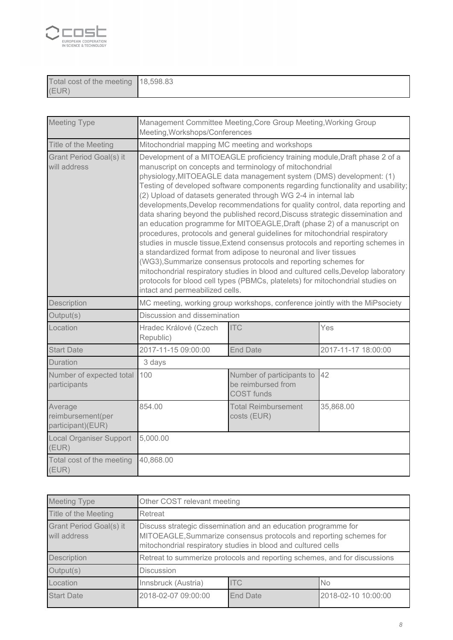

| Total cost of the meeting | 18,598.83 |
|---------------------------|-----------|
| (EUR                      |           |

| <b>Meeting Type</b>                               | Management Committee Meeting, Core Group Meeting, Working Group<br>Meeting, Workshops/Conferences                                                                                                                                                                                                                                                                                                                                                                                                                                                                                                                                                                                                                                                                                                                                                                                                                                                                                                                                                                                                                               |                                                                             |                     |  |  |
|---------------------------------------------------|---------------------------------------------------------------------------------------------------------------------------------------------------------------------------------------------------------------------------------------------------------------------------------------------------------------------------------------------------------------------------------------------------------------------------------------------------------------------------------------------------------------------------------------------------------------------------------------------------------------------------------------------------------------------------------------------------------------------------------------------------------------------------------------------------------------------------------------------------------------------------------------------------------------------------------------------------------------------------------------------------------------------------------------------------------------------------------------------------------------------------------|-----------------------------------------------------------------------------|---------------------|--|--|
| Title of the Meeting                              | Mitochondrial mapping MC meeting and workshops                                                                                                                                                                                                                                                                                                                                                                                                                                                                                                                                                                                                                                                                                                                                                                                                                                                                                                                                                                                                                                                                                  |                                                                             |                     |  |  |
| Grant Period Goal(s) it<br>will address           | Development of a MITOEAGLE proficiency training module, Draft phase 2 of a<br>manuscript on concepts and terminology of mitochondrial<br>physiology, MITOEAGLE data management system (DMS) development: (1)<br>Testing of developed software components regarding functionality and usability;<br>(2) Upload of datasets generated through WG 2-4 in internal lab<br>developments, Develop recommendations for quality control, data reporting and<br>data sharing beyond the published record, Discuss strategic dissemination and<br>an education programme for MITOEAGLE, Draft (phase 2) of a manuscript on<br>procedures, protocols and general guidelines for mitochondrial respiratory<br>studies in muscle tissue, Extend consensus protocols and reporting schemes in<br>a standardized format from adipose to neuronal and liver tissues<br>(WG3), Summarize consensus protocols and reporting schemes for<br>mitochondrial respiratory studies in blood and cultured cells, Develop laboratory<br>protocols for blood cell types (PBMCs, platelets) for mitochondrial studies on<br>intact and permeabilized cells. |                                                                             |                     |  |  |
| Description                                       |                                                                                                                                                                                                                                                                                                                                                                                                                                                                                                                                                                                                                                                                                                                                                                                                                                                                                                                                                                                                                                                                                                                                 | MC meeting, working group workshops, conference jointly with the MiPsociety |                     |  |  |
| Output(s)                                         |                                                                                                                                                                                                                                                                                                                                                                                                                                                                                                                                                                                                                                                                                                                                                                                                                                                                                                                                                                                                                                                                                                                                 | Discussion and dissemination                                                |                     |  |  |
| Location                                          | Hradec Králové (Czech<br>Republic)                                                                                                                                                                                                                                                                                                                                                                                                                                                                                                                                                                                                                                                                                                                                                                                                                                                                                                                                                                                                                                                                                              | <b>ITC</b>                                                                  | Yes                 |  |  |
| <b>Start Date</b>                                 | 2017-11-15 09:00:00                                                                                                                                                                                                                                                                                                                                                                                                                                                                                                                                                                                                                                                                                                                                                                                                                                                                                                                                                                                                                                                                                                             | <b>End Date</b>                                                             | 2017-11-17 18:00:00 |  |  |
| Duration                                          | 3 days                                                                                                                                                                                                                                                                                                                                                                                                                                                                                                                                                                                                                                                                                                                                                                                                                                                                                                                                                                                                                                                                                                                          |                                                                             |                     |  |  |
| Number of expected total<br>participants          | 100                                                                                                                                                                                                                                                                                                                                                                                                                                                                                                                                                                                                                                                                                                                                                                                                                                                                                                                                                                                                                                                                                                                             | Number of participants to<br>be reimbursed from<br><b>COST</b> funds        | 42                  |  |  |
| Average<br>reimbursement(per<br>participant)(EUR) | 854.00                                                                                                                                                                                                                                                                                                                                                                                                                                                                                                                                                                                                                                                                                                                                                                                                                                                                                                                                                                                                                                                                                                                          | <b>Total Reimbursement</b><br>costs (EUR)                                   | 35,868.00           |  |  |
| <b>Local Organiser Support</b><br>(EUR)           | 5,000.00                                                                                                                                                                                                                                                                                                                                                                                                                                                                                                                                                                                                                                                                                                                                                                                                                                                                                                                                                                                                                                                                                                                        |                                                                             |                     |  |  |
| Total cost of the meeting<br>(EUR)                | 40,868.00                                                                                                                                                                                                                                                                                                                                                                                                                                                                                                                                                                                                                                                                                                                                                                                                                                                                                                                                                                                                                                                                                                                       |                                                                             |                     |  |  |

| <b>Meeting Type</b>                     | Other COST relevant meeting                                                                                                                                                                           |          |                     |
|-----------------------------------------|-------------------------------------------------------------------------------------------------------------------------------------------------------------------------------------------------------|----------|---------------------|
| Title of the Meeting                    | Retreat                                                                                                                                                                                               |          |                     |
| Grant Period Goal(s) it<br>will address | Discuss strategic dissemination and an education programme for<br>MITOEAGLE, Summarize consensus protocols and reporting schemes for<br>mitochondrial respiratory studies in blood and cultured cells |          |                     |
| Description                             | Retreat to summerize protocols and reporting schemes, and for discussions                                                                                                                             |          |                     |
| Output(s)                               | <b>Discussion</b>                                                                                                                                                                                     |          |                     |
| Location                                | <b>ITC</b><br>Innsbruck (Austria)<br><b>No</b>                                                                                                                                                        |          |                     |
| <b>Start Date</b>                       | 2018-02-07 09:00:00                                                                                                                                                                                   | End Date | 2018-02-10 10:00:00 |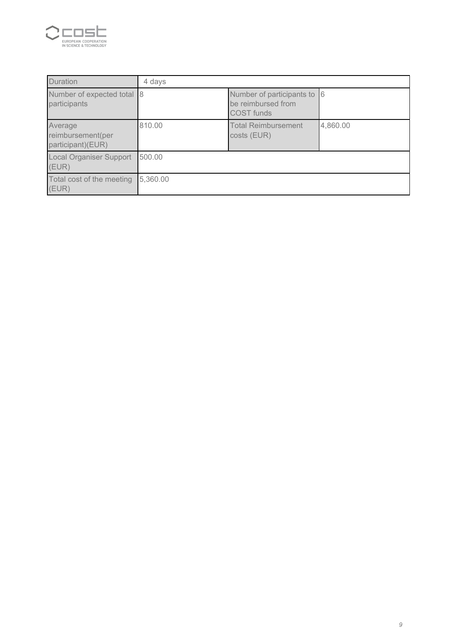

| Duration                                          | 4 days   |                                                                 |          |
|---------------------------------------------------|----------|-----------------------------------------------------------------|----------|
| Number of expected total 8<br>participants        |          | Number of participants to 6<br>be reimbursed from<br>COST funds |          |
| Average<br>reimbursement(per<br>participant)(EUR) | 810.00   | <b>Total Reimbursement</b><br>costs (EUR)                       | 4,860.00 |
| <b>Local Organiser Support</b><br>(EUR)           | 500.00   |                                                                 |          |
| Total cost of the meeting<br>(EUR)                | 5,360.00 |                                                                 |          |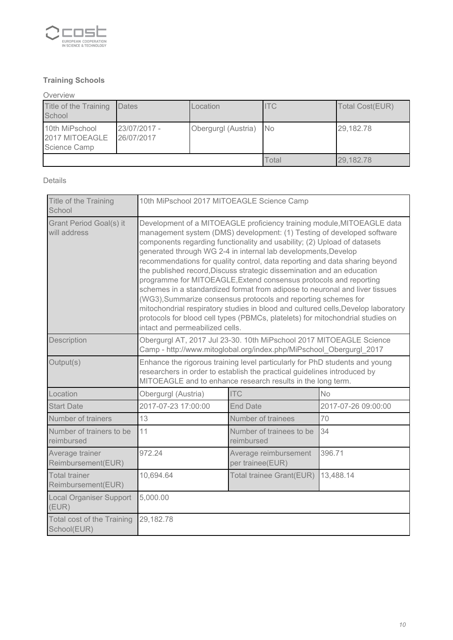

# **Training Schools**

Overview Title of the Training School Dates Location ITC Total Cost(EUR) 10th MiPschool 2017 MITOEAGLE Science Camp 23/07/2017 - 26/07/2017 Obergurgl (Austria) No 29,182.78 Total 29,182.78

Details

| Title of the Training<br>School                | 10th MiPschool 2017 MITOEAGLE Science Camp                                                                                                                                                                                                                                                                                                                                                                                                                                                                                                                                                                                                                                                                                                                                                                                                                                              |                                              |                     |  |  |
|------------------------------------------------|-----------------------------------------------------------------------------------------------------------------------------------------------------------------------------------------------------------------------------------------------------------------------------------------------------------------------------------------------------------------------------------------------------------------------------------------------------------------------------------------------------------------------------------------------------------------------------------------------------------------------------------------------------------------------------------------------------------------------------------------------------------------------------------------------------------------------------------------------------------------------------------------|----------------------------------------------|---------------------|--|--|
| <b>Grant Period Goal(s) it</b><br>will address | Development of a MITOEAGLE proficiency training module, MITOEAGLE data<br>management system (DMS) development: (1) Testing of developed software<br>components regarding functionality and usability; (2) Upload of datasets<br>generated through WG 2-4 in internal lab developments, Develop<br>recommendations for quality control, data reporting and data sharing beyond<br>the published record, Discuss strategic dissemination and an education<br>programme for MITOEAGLE, Extend consensus protocols and reporting<br>schemes in a standardized format from adipose to neuronal and liver tissues<br>(WG3), Summarize consensus protocols and reporting schemes for<br>mitochondrial respiratory studies in blood and cultured cells, Develop laboratory<br>protocols for blood cell types (PBMCs, platelets) for mitochondrial studies on<br>intact and permeabilized cells. |                                              |                     |  |  |
| Description                                    | Obergurgl AT, 2017 Jul 23-30. 10th MiPschool 2017 MITOEAGLE Science<br>Camp - http://www.mitoglobal.org/index.php/MiPschool Obergurgl 2017                                                                                                                                                                                                                                                                                                                                                                                                                                                                                                                                                                                                                                                                                                                                              |                                              |                     |  |  |
| Output(s)                                      | Enhance the rigorous training level particularly for PhD students and young<br>researchers in order to establish the practical guidelines introduced by<br>MITOEAGLE and to enhance research results in the long term.                                                                                                                                                                                                                                                                                                                                                                                                                                                                                                                                                                                                                                                                  |                                              |                     |  |  |
| Location                                       | Obergurgl (Austria)                                                                                                                                                                                                                                                                                                                                                                                                                                                                                                                                                                                                                                                                                                                                                                                                                                                                     | <b>ITC</b>                                   | <b>No</b>           |  |  |
| <b>Start Date</b>                              | 2017-07-23 17:00:00                                                                                                                                                                                                                                                                                                                                                                                                                                                                                                                                                                                                                                                                                                                                                                                                                                                                     | <b>End Date</b>                              | 2017-07-26 09:00:00 |  |  |
| Number of trainers                             | 13                                                                                                                                                                                                                                                                                                                                                                                                                                                                                                                                                                                                                                                                                                                                                                                                                                                                                      | Number of trainees                           | 70                  |  |  |
| Number of trainers to be<br>reimbursed         | 11                                                                                                                                                                                                                                                                                                                                                                                                                                                                                                                                                                                                                                                                                                                                                                                                                                                                                      | Number of trainees to be<br>34<br>reimbursed |                     |  |  |
| Average trainer<br>Reimbursement(EUR)          | 972.24<br>396.71<br>Average reimbursement<br>per trainee(EUR)                                                                                                                                                                                                                                                                                                                                                                                                                                                                                                                                                                                                                                                                                                                                                                                                                           |                                              |                     |  |  |
| <b>Total trainer</b><br>Reimbursement(EUR)     | 10,694.64                                                                                                                                                                                                                                                                                                                                                                                                                                                                                                                                                                                                                                                                                                                                                                                                                                                                               | 13,488.14<br>Total trainee Grant(EUR)        |                     |  |  |
| <b>Local Organiser Support</b><br>(EUR)        | 5,000.00                                                                                                                                                                                                                                                                                                                                                                                                                                                                                                                                                                                                                                                                                                                                                                                                                                                                                |                                              |                     |  |  |
| Total cost of the Training<br>School(EUR)      | 29,182.78                                                                                                                                                                                                                                                                                                                                                                                                                                                                                                                                                                                                                                                                                                                                                                                                                                                                               |                                              |                     |  |  |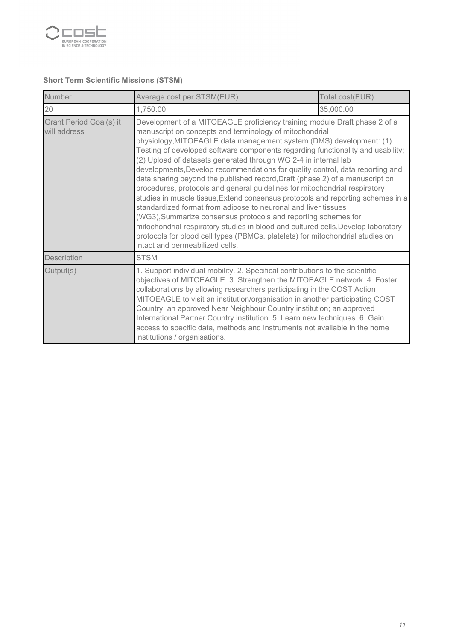

# **Short Term Scientific Missions (STSM)**

| Number                                  | Average cost per STSM(EUR)<br>Total cost(EUR)                                                                                                                                                                                                                                                                                                                                                                                                                                                                                                                                             |                                                                                                                                                                                                                                                                                                                                                                                                                                                                                                                                                                                                                                                                                                                                                                                                                                                                                                                                                                                                                 |  |
|-----------------------------------------|-------------------------------------------------------------------------------------------------------------------------------------------------------------------------------------------------------------------------------------------------------------------------------------------------------------------------------------------------------------------------------------------------------------------------------------------------------------------------------------------------------------------------------------------------------------------------------------------|-----------------------------------------------------------------------------------------------------------------------------------------------------------------------------------------------------------------------------------------------------------------------------------------------------------------------------------------------------------------------------------------------------------------------------------------------------------------------------------------------------------------------------------------------------------------------------------------------------------------------------------------------------------------------------------------------------------------------------------------------------------------------------------------------------------------------------------------------------------------------------------------------------------------------------------------------------------------------------------------------------------------|--|
| 20                                      | 35,000.00<br>1,750.00                                                                                                                                                                                                                                                                                                                                                                                                                                                                                                                                                                     |                                                                                                                                                                                                                                                                                                                                                                                                                                                                                                                                                                                                                                                                                                                                                                                                                                                                                                                                                                                                                 |  |
| Grant Period Goal(s) it<br>will address | intact and permeabilized cells.                                                                                                                                                                                                                                                                                                                                                                                                                                                                                                                                                           | Development of a MITOEAGLE proficiency training module, Draft phase 2 of a<br>manuscript on concepts and terminology of mitochondrial<br>physiology, MITOEAGLE data management system (DMS) development: (1)<br>Testing of developed software components regarding functionality and usability;<br>(2) Upload of datasets generated through WG 2-4 in internal lab<br>developments, Develop recommendations for quality control, data reporting and<br>data sharing beyond the published record, Draft (phase 2) of a manuscript on<br>procedures, protocols and general guidelines for mitochondrial respiratory<br>studies in muscle tissue, Extend consensus protocols and reporting schemes in a<br>standardized format from adipose to neuronal and liver tissues<br>(WG3), Summarize consensus protocols and reporting schemes for<br>mitochondrial respiratory studies in blood and cultured cells, Develop laboratory<br>protocols for blood cell types (PBMCs, platelets) for mitochondrial studies on |  |
| Description                             | <b>STSM</b>                                                                                                                                                                                                                                                                                                                                                                                                                                                                                                                                                                               |                                                                                                                                                                                                                                                                                                                                                                                                                                                                                                                                                                                                                                                                                                                                                                                                                                                                                                                                                                                                                 |  |
| Output(s)                               | 1. Support individual mobility. 2. Specifical contributions to the scientific<br>objectives of MITOEAGLE. 3. Strengthen the MITOEAGLE network. 4. Foster<br>collaborations by allowing researchers participating in the COST Action<br>MITOEAGLE to visit an institution/organisation in another participating COST<br>Country; an approved Near Neighbour Country institution; an approved<br>International Partner Country institution. 5. Learn new techniques. 6. Gain<br>access to specific data, methods and instruments not available in the home<br>institutions / organisations. |                                                                                                                                                                                                                                                                                                                                                                                                                                                                                                                                                                                                                                                                                                                                                                                                                                                                                                                                                                                                                 |  |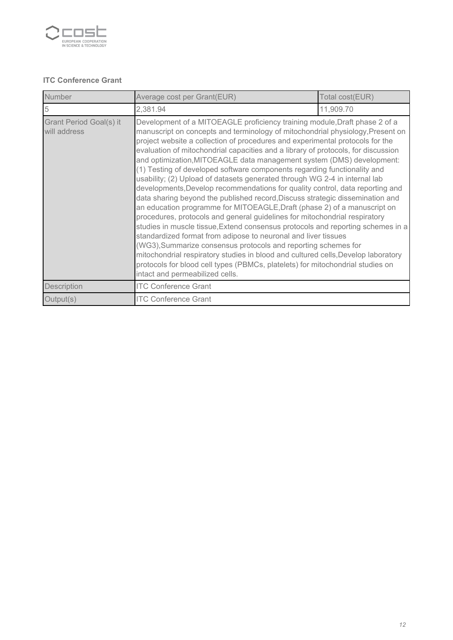

### **ITC Conference Grant**

| Number                                  | Average cost per Grant(EUR)<br>Total cost(EUR)                                                                                                                                                                                                                                                                                                                                                                                                                                                                                                                                                                                                                                                                                                                                                                                                                                                                                                                                                                                                                                                                                                                                                                                                                                                                                     |  |  |  |
|-----------------------------------------|------------------------------------------------------------------------------------------------------------------------------------------------------------------------------------------------------------------------------------------------------------------------------------------------------------------------------------------------------------------------------------------------------------------------------------------------------------------------------------------------------------------------------------------------------------------------------------------------------------------------------------------------------------------------------------------------------------------------------------------------------------------------------------------------------------------------------------------------------------------------------------------------------------------------------------------------------------------------------------------------------------------------------------------------------------------------------------------------------------------------------------------------------------------------------------------------------------------------------------------------------------------------------------------------------------------------------------|--|--|--|
| 5                                       | 2,381.94<br>11,909.70                                                                                                                                                                                                                                                                                                                                                                                                                                                                                                                                                                                                                                                                                                                                                                                                                                                                                                                                                                                                                                                                                                                                                                                                                                                                                                              |  |  |  |
| Grant Period Goal(s) it<br>will address | Development of a MITOEAGLE proficiency training module, Draft phase 2 of a<br>manuscript on concepts and terminology of mitochondrial physiology, Present on<br>project website a collection of procedures and experimental protocols for the<br>evaluation of mitochondrial capacities and a library of protocols, for discussion<br>and optimization, MITOEAGLE data management system (DMS) development:<br>(1) Testing of developed software components regarding functionality and<br>usability; (2) Upload of datasets generated through WG 2-4 in internal lab<br>developments, Develop recommendations for quality control, data reporting and<br>data sharing beyond the published record, Discuss strategic dissemination and<br>an education programme for MITOEAGLE, Draft (phase 2) of a manuscript on<br>procedures, protocols and general guidelines for mitochondrial respiratory<br>studies in muscle tissue, Extend consensus protocols and reporting schemes in a<br>standardized format from adipose to neuronal and liver tissues<br>(WG3), Summarize consensus protocols and reporting schemes for<br>mitochondrial respiratory studies in blood and cultured cells, Develop laboratory<br>protocols for blood cell types (PBMCs, platelets) for mitochondrial studies on<br>intact and permeabilized cells. |  |  |  |
| Description                             | <b>ITC Conference Grant</b>                                                                                                                                                                                                                                                                                                                                                                                                                                                                                                                                                                                                                                                                                                                                                                                                                                                                                                                                                                                                                                                                                                                                                                                                                                                                                                        |  |  |  |
| Output(s)                               | <b>ITC Conference Grant</b>                                                                                                                                                                                                                                                                                                                                                                                                                                                                                                                                                                                                                                                                                                                                                                                                                                                                                                                                                                                                                                                                                                                                                                                                                                                                                                        |  |  |  |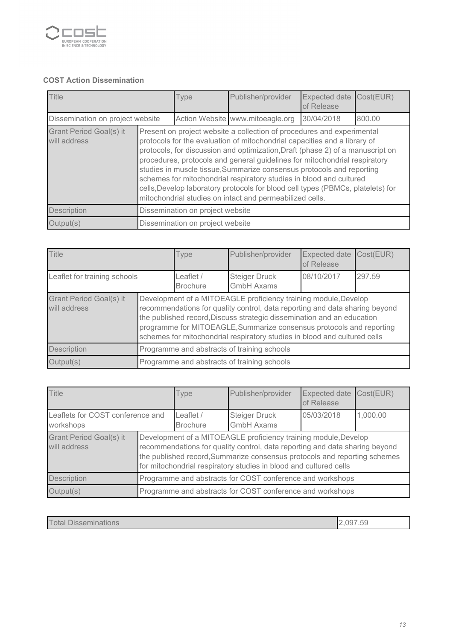

# **COST Action Dissemination**

| <b>Title</b>                                   |                                                                                                                                                                                                                                                                                                                                                                                                                                                                                                                                                                                                                    | <b>Type</b> | Publisher/provider               | Expected date<br>of Release | Cost(EUR) |
|------------------------------------------------|--------------------------------------------------------------------------------------------------------------------------------------------------------------------------------------------------------------------------------------------------------------------------------------------------------------------------------------------------------------------------------------------------------------------------------------------------------------------------------------------------------------------------------------------------------------------------------------------------------------------|-------------|----------------------------------|-----------------------------|-----------|
| Dissemination on project website               |                                                                                                                                                                                                                                                                                                                                                                                                                                                                                                                                                                                                                    |             | Action Website www.mitoeagle.org | 30/04/2018                  | 800.00    |
| <b>Grant Period Goal(s) it</b><br>will address | Present on project website a collection of procedures and experimental<br>protocols for the evaluation of mitochondrial capacities and a library of<br>protocols, for discussion and optimization, Draft (phase 2) of a manuscript on<br>procedures, protocols and general guidelines for mitochondrial respiratory<br>studies in muscle tissue, Summarize consensus protocols and reporting<br>schemes for mitochondrial respiratory studies in blood and cultured<br>cells, Develop laboratory protocols for blood cell types (PBMCs, platelets) for<br>mitochondrial studies on intact and permeabilized cells. |             |                                  |                             |           |
| Description                                    | Dissemination on project website                                                                                                                                                                                                                                                                                                                                                                                                                                                                                                                                                                                   |             |                                  |                             |           |
| Output(s)                                      | Dissemination on project website                                                                                                                                                                                                                                                                                                                                                                                                                                                                                                                                                                                   |             |                                  |                             |           |

| <b>Title</b>                            |                                                                                                                                                                                                                                                                                                                                                                               | <b>Type</b>                  | Publisher/provider                        | <b>Expected date</b><br>of Release | Cost(EUR) |
|-----------------------------------------|-------------------------------------------------------------------------------------------------------------------------------------------------------------------------------------------------------------------------------------------------------------------------------------------------------------------------------------------------------------------------------|------------------------------|-------------------------------------------|------------------------------------|-----------|
| Leaflet for training schools            |                                                                                                                                                                                                                                                                                                                                                                               | Leaflet /<br><b>Brochure</b> | <b>Steiger Druck</b><br><b>GmbH Axams</b> | 08/10/2017                         | 297.59    |
| Grant Period Goal(s) it<br>will address | Development of a MITOEAGLE proficiency training module, Develop<br>recommendations for quality control, data reporting and data sharing beyond<br>the published record, Discuss strategic dissemination and an education<br>programme for MITOEAGLE, Summarize consensus protocols and reporting<br>schemes for mitochondrial respiratory studies in blood and cultured cells |                              |                                           |                                    |           |
| Description                             | Programme and abstracts of training schools                                                                                                                                                                                                                                                                                                                                   |                              |                                           |                                    |           |
| Output(s)                               | Programme and abstracts of training schools                                                                                                                                                                                                                                                                                                                                   |                              |                                           |                                    |           |

| <b>Title</b>                                  |                                                                                                                                                                                                                                                                                                  | Type                         | Publisher/provider                        | Expected date<br>of Release | Cost(EUR) |
|-----------------------------------------------|--------------------------------------------------------------------------------------------------------------------------------------------------------------------------------------------------------------------------------------------------------------------------------------------------|------------------------------|-------------------------------------------|-----------------------------|-----------|
| Leaflets for COST conference and<br>workshops |                                                                                                                                                                                                                                                                                                  | Leaflet /<br><b>Brochure</b> | <b>Steiger Druck</b><br><b>GmbH Axams</b> | 05/03/2018                  | 1,000.00  |
| Grant Period Goal(s) it<br>will address       | Development of a MITOEAGLE proficiency training module, Develop<br>recommendations for quality control, data reporting and data sharing beyond<br>the published record, Summarize consensus protocols and reporting schemes<br>for mitochondrial respiratory studies in blood and cultured cells |                              |                                           |                             |           |
| <b>Description</b>                            | Programme and abstracts for COST conference and workshops                                                                                                                                                                                                                                        |                              |                                           |                             |           |
| Output(s)                                     | Programme and abstracts for COST conference and workshops                                                                                                                                                                                                                                        |                              |                                           |                             |           |

| <b>Disseminations</b><br>otal | $ \sim$<br>.09-<br>nu<br>. U U |
|-------------------------------|--------------------------------|